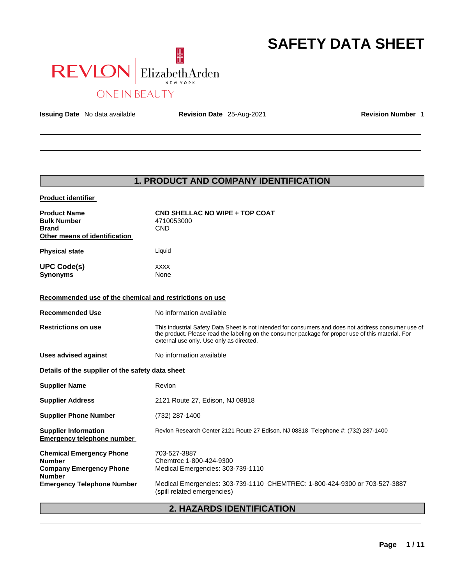# **SAFETY DATA SHEET**



**Issuing Date** No data available **Revision Date** 25-Aug-2021 **Revision Number** 1

## **1. PRODUCT AND COMPANY IDENTIFICATION**

| <b>Product identifier</b>                                                                           |                                                                                                                                                                                                                                                        |
|-----------------------------------------------------------------------------------------------------|--------------------------------------------------------------------------------------------------------------------------------------------------------------------------------------------------------------------------------------------------------|
| <b>Product Name</b><br><b>Bulk Number</b><br><b>Brand</b><br>Other means of identification          | CND SHELLAC NO WIPE + TOP COAT<br>4710053000<br><b>CND</b>                                                                                                                                                                                             |
| <b>Physical state</b>                                                                               | Liquid                                                                                                                                                                                                                                                 |
| <b>UPC Code(s)</b><br><b>Synonyms</b>                                                               | <b>XXXX</b><br>None                                                                                                                                                                                                                                    |
| Recommended use of the chemical and restrictions on use                                             |                                                                                                                                                                                                                                                        |
| <b>Recommended Use</b>                                                                              | No information available                                                                                                                                                                                                                               |
| <b>Restrictions on use</b>                                                                          | This industrial Safety Data Sheet is not intended for consumers and does not address consumer use of<br>the product. Please read the labeling on the consumer package for proper use of this material. For<br>external use only. Use only as directed. |
| <b>Uses advised against</b>                                                                         | No information available                                                                                                                                                                                                                               |
| Details of the supplier of the safety data sheet                                                    |                                                                                                                                                                                                                                                        |
| <b>Supplier Name</b>                                                                                | Revlon                                                                                                                                                                                                                                                 |
| <b>Supplier Address</b>                                                                             | 2121 Route 27, Edison, NJ 08818                                                                                                                                                                                                                        |
| <b>Supplier Phone Number</b>                                                                        | (732) 287-1400                                                                                                                                                                                                                                         |
| <b>Supplier Information</b><br><b>Emergency telephone number</b>                                    | Revlon Research Center 2121 Route 27 Edison, NJ 08818 Telephone #: (732) 287-1400                                                                                                                                                                      |
| <b>Chemical Emergency Phone</b><br><b>Number</b><br><b>Company Emergency Phone</b><br><b>Number</b> | 703-527-3887<br>Chemtrec 1-800-424-9300<br>Medical Emergencies: 303-739-1110                                                                                                                                                                           |
| <b>Emergency Telephone Number</b>                                                                   | Medical Emergencies: 303-739-1110 CHEMTREC: 1-800-424-9300 or 703-527-3887<br>(spill related emergencies)                                                                                                                                              |

## **2. HAZARDS IDENTIFICATION**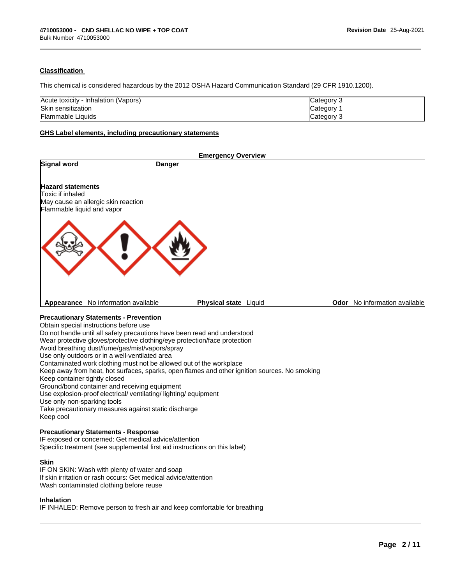### **Classification**

This chemical is considered hazardous by the 2012 OSHA Hazard Communication Standard (29 CFR 1910.1200).

| Acute toxicity<br>(Vapors)<br>Inhalation | Category<br>് |
|------------------------------------------|---------------|
| <b>Skin</b><br>⊧sensitization            | ∵ategorvٽ     |
| <b>Flammable Liquids</b>                 | Category<br>് |

### **GHS Label elements, including precautionary statements**

|                                                                                                                              |               | <b>Emergency Overview</b>                                                                     |                                      |
|------------------------------------------------------------------------------------------------------------------------------|---------------|-----------------------------------------------------------------------------------------------|--------------------------------------|
| Signal word                                                                                                                  | <b>Danger</b> |                                                                                               |                                      |
| <b>Hazard statements</b><br>Toxic if inhaled<br>May cause an allergic skin reaction<br>Flammable liquid and vapor            |               |                                                                                               |                                      |
|                                                                                                                              |               |                                                                                               |                                      |
| Appearance No information available                                                                                          |               | <b>Physical state</b> Liquid                                                                  | <b>Odor</b> No information available |
| <b>Precautionary Statements - Prevention</b>                                                                                 |               |                                                                                               |                                      |
| Obtain special instructions before use                                                                                       |               |                                                                                               |                                      |
| Do not handle until all safety precautions have been read and understood                                                     |               |                                                                                               |                                      |
| Wear protective gloves/protective clothing/eye protection/face protection<br>Avoid breathing dust/fume/gas/mist/vapors/spray |               |                                                                                               |                                      |
| Use only outdoors or in a well-ventilated area                                                                               |               |                                                                                               |                                      |
| Contaminated work clothing must not be allowed out of the workplace                                                          |               |                                                                                               |                                      |
|                                                                                                                              |               | Keep away from heat, hot surfaces, sparks, open flames and other ignition sources. No smoking |                                      |
| Keep container tightly closed                                                                                                |               |                                                                                               |                                      |
| Ground/bond container and receiving equipment                                                                                |               |                                                                                               |                                      |
| Use explosion-proof electrical/ventilating/lighting/equipment                                                                |               |                                                                                               |                                      |
| Use only non-sparking tools                                                                                                  |               |                                                                                               |                                      |
| Take precautionary measures against static discharge                                                                         |               |                                                                                               |                                      |
| Keep cool                                                                                                                    |               |                                                                                               |                                      |

**Precautionary Statements - Response** IF exposed or concerned: Get medical advice/attention Specific treatment (see supplemental first aid instructions on this label)

### **Skin**

IF ON SKIN: Wash with plenty of water and soap If skin irritation or rash occurs: Get medical advice/attention Wash contaminated clothing before reuse

### **Inhalation**

IF INHALED: Remove person to fresh air and keep comfortable for breathing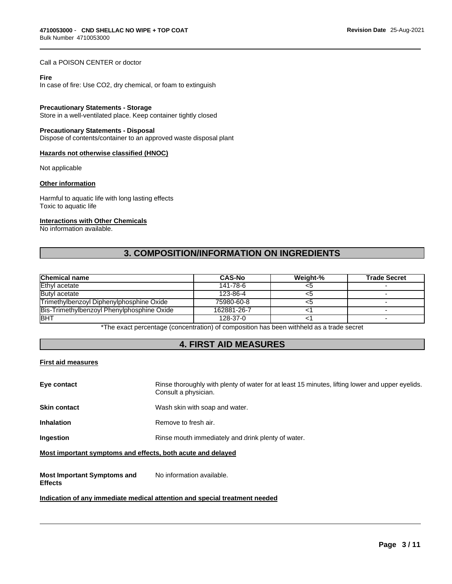### Call a POISON CENTER or doctor

### **Fire**

In case of fire: Use CO2, dry chemical, or foam to extinguish

### **Precautionary Statements - Storage**

Store in a well-ventilated place. Keep container tightly closed

### **Precautionary Statements - Disposal**

Dispose of contents/container to an approved waste disposal plant

#### **Hazards not otherwise classified (HNOC)**

Not applicable

### **Other information**

Harmful to aquatic life with long lasting effects Toxic to aquatic life

### **Interactions with Other Chemicals**

No information available.

### **3. COMPOSITION/INFORMATION ON INGREDIENTS**

| <b>Chemical name</b>                       | <b>CAS-No</b> | Weight-% | Trade Secret |
|--------------------------------------------|---------------|----------|--------------|
| Ethyl acetate                              | 141-78-6      |          |              |
| Butyl acetate                              | 123-86-4      | <σ       |              |
| Trimethylbenzoyl Diphenylphosphine Oxide   | 75980-60-8    |          |              |
| Bis-Trimethylbenzoyl Phenylphosphine Oxide | 162881-26-7   |          |              |
| <b>BHT</b>                                 | 128-37-0      |          |              |

\*The exact percentage (concentration) of composition has been withheld as a trade secret

### **4. FIRST AID MEASURES**

### **First aid measures**

| Eye contact         | Rinse thoroughly with plenty of water for at least 15 minutes, lifting lower and upper eyelids.<br>Consult a physician. |
|---------------------|-------------------------------------------------------------------------------------------------------------------------|
| <b>Skin contact</b> | Wash skin with soap and water.                                                                                          |
| <b>Inhalation</b>   | Remove to fresh air.                                                                                                    |
| Ingestion           | Rinse mouth immediately and drink plenty of water.                                                                      |

#### **Most important symptoms and effects, both acute and delayed**

**Most Important Symptoms and** No information available.

**Effects**

### **Indication of any immediate medical attention and special treatment needed**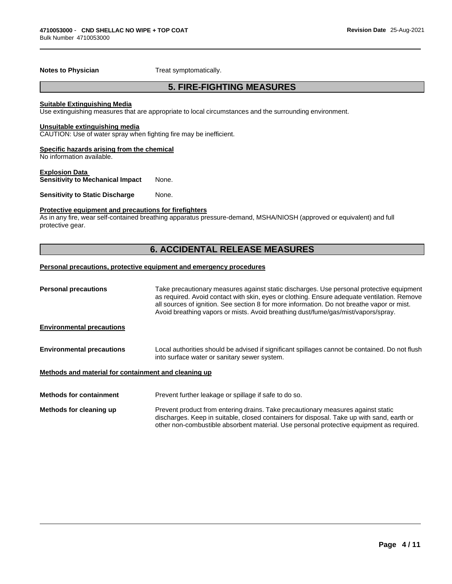**Notes to Physician** Treat symptomatically.

### **5. FIRE-FIGHTING MEASURES**

### **Suitable Extinguishing Media**

Use extinguishing measures that are appropriate to local circumstances and the surrounding environment.

#### **Unsuitable extinguishing media**

CAUTION: Use of water spray when fighting fire may be inefficient.

### **Specific hazards arising from the chemical**

No information available.

#### **Explosion Data Sensitivity to Mechanical Impact** None.

**Sensitivity to Static Discharge** None.

### **Protective equipment and precautions for firefighters**

As in any fire, wear self-contained breathing apparatus pressure-demand, MSHA/NIOSH (approved or equivalent) and full protective gear.

### **6. ACCIDENTAL RELEASE MEASURES**

### **Personal precautions, protective equipment and emergency procedures**

| <b>Personal precautions</b>                          | Take precautionary measures against static discharges. Use personal protective equipment<br>as required. Avoid contact with skin, eyes or clothing. Ensure adequate ventilation. Remove<br>all sources of ignition. See section 8 for more information. Do not breathe vapor or mist.<br>Avoid breathing vapors or mists. Avoid breathing dust/fume/gas/mist/vapors/spray. |
|------------------------------------------------------|----------------------------------------------------------------------------------------------------------------------------------------------------------------------------------------------------------------------------------------------------------------------------------------------------------------------------------------------------------------------------|
| <b>Environmental precautions</b>                     |                                                                                                                                                                                                                                                                                                                                                                            |
| <b>Environmental precautions</b>                     | Local authorities should be advised if significant spillages cannot be contained. Do not flush<br>into surface water or sanitary sewer system.                                                                                                                                                                                                                             |
| Methods and material for containment and cleaning up |                                                                                                                                                                                                                                                                                                                                                                            |
| <b>Methods for containment</b>                       | Prevent further leakage or spillage if safe to do so.                                                                                                                                                                                                                                                                                                                      |
| Methods for cleaning up                              | Prevent product from entering drains. Take precautionary measures against static<br>discharges. Keep in suitable, closed containers for disposal. Take up with sand, earth or<br>other non-combustible absorbent material. Use personal protective equipment as required.                                                                                                  |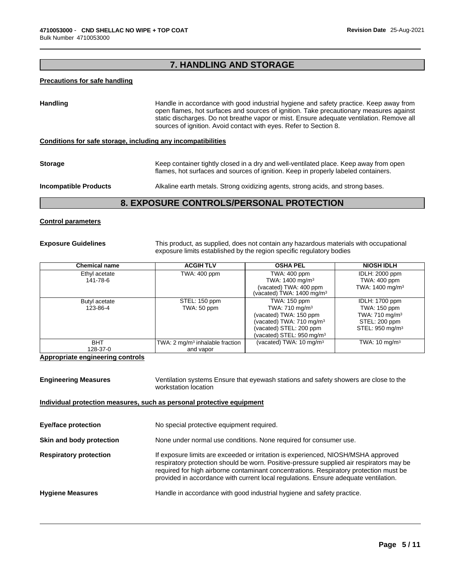### **7. HANDLING AND STORAGE**

### **Precautions for safe handling**

| <b>Handling</b>              | Handle in accordance with good industrial hygiene and safety practice. Keep away from<br>open flames, hot surfaces and sources of ignition. Take precautionary measures against<br>static discharges. Do not breathe vapor or mist. Ensure adequate ventilation. Remove all<br>sources of ignition. Avoid contact with eyes. Refer to Section 8. |
|------------------------------|--------------------------------------------------------------------------------------------------------------------------------------------------------------------------------------------------------------------------------------------------------------------------------------------------------------------------------------------------|
|                              | Conditions for safe storage, including any incompatibilities                                                                                                                                                                                                                                                                                     |
| <b>Storage</b>               | Keep container tightly closed in a dry and well-ventilated place. Keep away from open<br>flames, hot surfaces and sources of ignition. Keep in properly labeled containers.                                                                                                                                                                      |
| <b>Incompatible Products</b> | Alkaline earth metals. Strong oxidizing agents, strong acids, and strong bases.                                                                                                                                                                                                                                                                  |

### **8. EXPOSURE CONTROLS/PERSONAL PROTECTION**

### **Control parameters**

**Exposure Guidelines** This product, as supplied, does not contain any hazardous materials with occupational exposure limits established by the region specific regulatory bodies

| <b>Chemical name</b>      | <b>ACGIH TLV</b>                                        | <b>OSHA PEL</b>                                                                                                                                                                  | <b>NIOSH IDLH</b>                                                                                                   |
|---------------------------|---------------------------------------------------------|----------------------------------------------------------------------------------------------------------------------------------------------------------------------------------|---------------------------------------------------------------------------------------------------------------------|
| Ethyl acetate<br>141-78-6 | TWA: 400 ppm                                            | TWA: 400 ppm<br>TWA: 1400 mg/m <sup>3</sup><br>(vacated) TWA: 400 ppm<br>(vacated) TWA: 1400 mg/m <sup>3</sup>                                                                   | <b>IDLH: 2000 ppm</b><br>TWA: 400 ppm<br>TWA: 1400 mg/m <sup>3</sup>                                                |
| Butyl acetate<br>123-86-4 | STEL: 150 ppm<br>TWA: 50 ppm                            | TWA: 150 ppm<br>TWA: 710 mg/m <sup>3</sup><br>(vacated) TWA: 150 ppm<br>(vacated) TWA: 710 mg/m <sup>3</sup><br>(vacated) STEL: 200 ppm<br>(vacated) STEL: 950 mg/m <sup>3</sup> | <b>IDLH: 1700 ppm</b><br>TWA: 150 ppm<br>TWA: 710 mg/m <sup>3</sup><br>STEL: 200 ppm<br>STEL: 950 mg/m <sup>3</sup> |
| <b>BHT</b><br>128-37-0    | TWA: $2 \text{ mg/m}^3$ inhalable fraction<br>and vapor | (vacated) TWA: 10 mg/m <sup>3</sup>                                                                                                                                              | TWA: $10 \text{ mg/m}^3$                                                                                            |

**Appropriate engineering controls**

**Engineering Measures** Ventilation systems Ensure that eyewash stations and safety showers are close to the workstation location

### **Individual protection measures, such as personal protective equipment**

| No special protective equipment required.                                                                                                                                                                                                                                                                                                                     |
|---------------------------------------------------------------------------------------------------------------------------------------------------------------------------------------------------------------------------------------------------------------------------------------------------------------------------------------------------------------|
| None under normal use conditions. None required for consumer use.                                                                                                                                                                                                                                                                                             |
| If exposure limits are exceeded or irritation is experienced, NIOSH/MSHA approved<br>respiratory protection should be worn. Positive-pressure supplied air respirators may be<br>required for high airborne contaminant concentrations. Respiratory protection must be<br>provided in accordance with current local regulations. Ensure adequate ventilation. |
| Handle in accordance with good industrial hygiene and safety practice.                                                                                                                                                                                                                                                                                        |
|                                                                                                                                                                                                                                                                                                                                                               |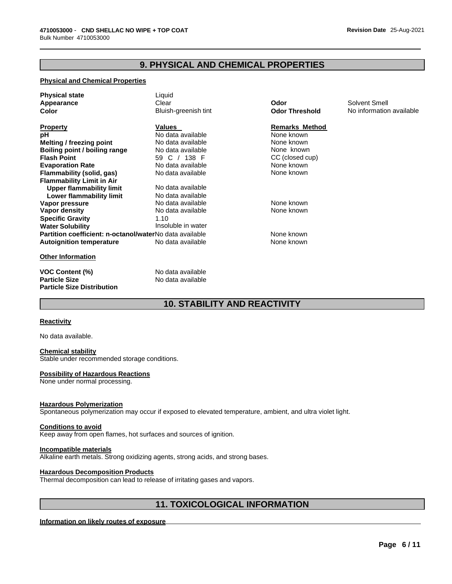### **9. PHYSICAL AND CHEMICAL PROPERTIES**

### **Physical and Chemical Properties**

| <b>Physical state</b>                                   | Liquid               |
|---------------------------------------------------------|----------------------|
| Appearance                                              | Clear                |
| Color                                                   | Bluish-greenish tint |
|                                                         |                      |
| <b>Property</b>                                         | Values               |
| рH                                                      | No data available    |
| Melting / freezing point                                | No data available    |
| Boiling point / boiling range                           | No data available    |
| <b>Flash Point</b>                                      | 59 C / 138 F         |
| <b>Evaporation Rate</b>                                 | No data available    |
| Flammability (solid, gas)                               | No data available    |
| <b>Flammability Limit in Air</b>                        |                      |
| <b>Upper flammability limit</b>                         | No data available    |
| Lower flammability limit                                | No data available    |
| Vapor pressure                                          | No data available    |
| Vapor density                                           | No data available    |
| <b>Specific Gravity</b>                                 | 1.10                 |
| <b>Water Solubility</b>                                 | Insoluble in water   |
| Partition coefficient: n-octanol/waterNo data available |                      |
| <b>Autoignition temperature</b>                         | No data available    |
| <b>Other Information</b>                                |                      |

**VOC Content (%)**<br> **Particle Size**<br> **Particle Size**<br> **No data available No data available Particle Size Distribution**

**Odor** Solvent Smell

**Remarks Method** None known None known

**Color Threshold** No information available

### None known

CC (closed cup) None known None known

None known **None known** 

**None known None known** 

### **10. STABILITY AND REACTIVITY**

### **Reactivity**

No data available.

### **Chemical stability**

Stable under recommended storage conditions.

### **Possibility of Hazardous Reactions**

None under normal processing.

### **Hazardous Polymerization**

Spontaneous polymerization may occur if exposed to elevated temperature, ambient, and ultra violet light.

### **Conditions to avoid**

Keep away from open flames, hot surfaces and sources of ignition.

**Incompatible materials** Alkaline earth metals. Strong oxidizing agents, strong acids, and strong bases.

### **Hazardous Decomposition Products**

Thermal decomposition can lead to release of irritating gases and vapors.

### **11. TOXICOLOGICAL INFORMATION**

### **Information on likely routes of exposure**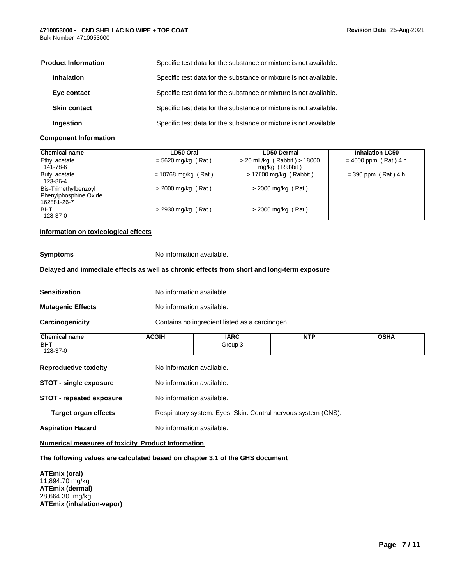| <b>Product Information</b> | Specific test data for the substance or mixture is not available. |
|----------------------------|-------------------------------------------------------------------|
| <b>Inhalation</b>          | Specific test data for the substance or mixture is not available. |
| Eye contact                | Specific test data for the substance or mixture is not available. |
| <b>Skin contact</b>        | Specific test data for the substance or mixture is not available. |
| <b>Ingestion</b>           | Specific test data for the substance or mixture is not available. |

### **Component Information**

| <b>Chemical name</b>                                         | LD50 Oral             | <b>LD50 Dermal</b>                                | <b>Inhalation LC50</b> |
|--------------------------------------------------------------|-----------------------|---------------------------------------------------|------------------------|
| Ethyl acetate<br>141-78-6                                    | $= 5620$ mg/kg (Rat)  | $> 20$ mL/kg (Rabbit) $> 18000$<br>mg/kg (Rabbit) | $= 4000$ ppm (Rat) 4 h |
| Butyl acetate<br>123-86-4                                    | $= 10768$ mg/kg (Rat) | $> 17600$ mg/kg (Rabbit)                          | $=$ 390 ppm (Rat) 4 h  |
| Bis-Trimethylbenzoyl<br>Phenylphosphine Oxide<br>162881-26-7 | $>$ 2000 mg/kg (Rat)  | $>$ 2000 mg/kg (Rat)                              |                        |
| <b>BHT</b><br>128-37-0                                       | $>$ 2930 mg/kg (Rat)  | $>$ 2000 mg/kg (Rat)                              |                        |

### **Information on toxicological effects**

**Symptoms** No information available.

### **Delayed and immediate effects as well as chronic effects from short and long-term exposure**

**Sensitization** No information available.

**Mutagenic Effects** No information available.

**Carcinogenicity** Contains no ingredient listed as a carcinogen.

| Chen<br>name | <b>CGIH</b> | <b>IARC</b><br>$\sim$ | <b>NTP</b> | -----<br>יווט |
|--------------|-------------|-----------------------|------------|---------------|
| <b>BHT</b>   |             | Group                 |            |               |
| 128-37-0     |             |                       |            |               |

| <b>Reproductive toxicity</b>    | No information available.                                     |
|---------------------------------|---------------------------------------------------------------|
| <b>STOT - single exposure</b>   | No information available.                                     |
| <b>STOT - repeated exposure</b> | No information available.                                     |
| <b>Target organ effects</b>     | Respiratory system. Eyes. Skin. Central nervous system (CNS). |
| <b>Aspiration Hazard</b>        | No information available.                                     |

**Numerical measures of toxicity Product Information**

**The following values are calculated based on chapter 3.1 of the GHS document**

**ATEmix (oral)** 11,894.70 mg/kg **ATEmix (dermal)** 28,664.30 mg/kg **ATEmix (inhalation-vapor)**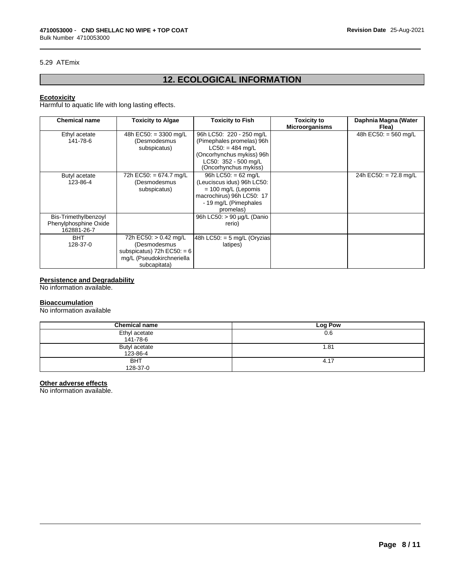### 5.29 ATEmix

## **12. ECOLOGICAL INFORMATION**

### **Ecotoxicity**

Harmful to aquatic life with long lasting effects.

| <b>Chemical name</b>  | <b>Toxicity to Algae</b>     | <b>Toxicity to Fish</b>                       | <b>Toxicity to</b>    | Daphnia Magna (Water    |
|-----------------------|------------------------------|-----------------------------------------------|-----------------------|-------------------------|
|                       |                              |                                               | <b>Microorganisms</b> | Flea)                   |
| Ethyl acetate         | 48h EC50: = 3300 mg/L        | 96h LC50: 220 - 250 mg/L                      |                       | 48h EC50: = $560$ mg/L  |
| 141-78-6              | (Desmodesmus                 | (Pimephales promelas) 96h                     |                       |                         |
|                       | subspicatus)                 | $LC50: = 484$ mg/L                            |                       |                         |
|                       |                              | (Oncorhynchus mykiss) 96h                     |                       |                         |
|                       |                              | LC50: 352 - 500 mg/L<br>(Oncorhynchus mykiss) |                       |                         |
|                       |                              |                                               |                       |                         |
| Butyl acetate         | 72h EC50: = 674.7 mg/L       | 96h LC50: $= 62$ mg/L                         |                       | 24h EC50: $= 72.8$ mg/L |
| 123-86-4              | (Desmodesmus                 | (Leuciscus idus) 96h LC50:                    |                       |                         |
|                       | subspicatus)                 | $= 100$ mg/L (Lepomis                         |                       |                         |
|                       |                              | macrochirus) 96h LC50: 17                     |                       |                         |
|                       |                              | - 19 mg/L (Pimephales                         |                       |                         |
|                       |                              | promelas)                                     |                       |                         |
| Bis-Trimethylbenzoyl  |                              | 96h LC50: > 90 µg/L (Danio                    |                       |                         |
| Phenylphosphine Oxide |                              | rerio)                                        |                       |                         |
| 162881-26-7           |                              |                                               |                       |                         |
| <b>BHT</b>            | 72h EC50: > 0.42 mg/L        | 48h LC50: = 5 mg/L (Oryzias                   |                       |                         |
| 128-37-0              | (Desmodesmus                 | latipes)                                      |                       |                         |
|                       | subspicatus) 72h $EC50: = 6$ |                                               |                       |                         |
|                       | mg/L (Pseudokirchneriella    |                                               |                       |                         |
|                       | subcapitata)                 |                                               |                       |                         |

### **Persistence and Degradability**

No information available.

### **Bioaccumulation**

No information available

| <b>Chemical name</b>      | Log Pow |
|---------------------------|---------|
| Ethyl acetate<br>141-78-6 | 0.6     |
| Butyl acetate<br>123-86-4 | 1.81    |
| <b>BHT</b><br>128-37-0    | 4.17    |

### **Other adverse effects**

No information available.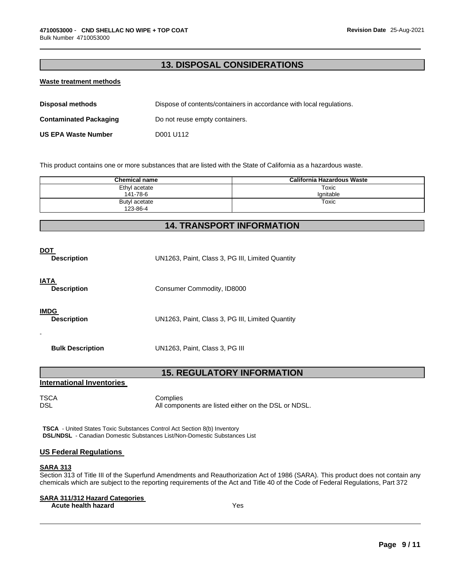### **13. DISPOSAL CONSIDERATIONS**

### **Waste treatment methods**

| Disposal methods              | Dispose of contents/containers in accordance with local regulations. |
|-------------------------------|----------------------------------------------------------------------|
| <b>Contaminated Packaging</b> | Do not reuse empty containers.                                       |
| <b>US EPA Waste Number</b>    | D001 U112                                                            |

This product contains one or more substances that are listed with the State of California as a hazardous waste.

| <b>Chemical name</b>      | California Hazardous Waste |
|---------------------------|----------------------------|
| Ethyl acetate<br>141-78-6 | Toxic<br>Ignitable         |
| Butyl acetate<br>123-86-4 | Toxic                      |

### **14. TRANSPORT INFORMATION**

| <b>DOT</b><br><b>Description</b>       | UN1263, Paint, Class 3, PG III, Limited Quantity |
|----------------------------------------|--------------------------------------------------|
| <b>IATA</b><br><b>Description</b>      | Consumer Commodity, ID8000                       |
| <b>IMDG</b><br><b>Description</b><br>- | UN1263, Paint, Class 3, PG III, Limited Quantity |
| <b>Bulk Description</b>                | UN1263, Paint, Class 3, PG III                   |
|                                        | <b>15. REGULATORY INFORMATION</b>                |
| <b>International Inventories</b>       |                                                  |

TSCA Complies All components are listed either on the DSL or NDSL.

**TSCA** - United States Toxic Substances Control Act Section 8(b) Inventory **DSL/NDSL** - Canadian Domestic Substances List/Non-Domestic Substances List

### **US Federal Regulations**

### **SARA 313**

Section 313 of Title III of the Superfund Amendments and Reauthorization Act of 1986 (SARA). This product does not contain any chemicals which are subject to the reporting requirements of the Act and Title 40 of the Code of Federal Regulations, Part 372

### **SARA 311/312 Hazard Categories**

**Acute health hazard** Yes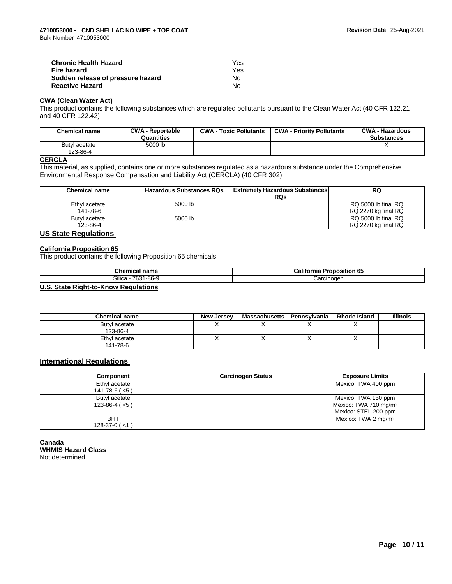| <b>Chronic Health Hazard</b>      | Yes |
|-----------------------------------|-----|
| Fire hazard                       | Yes |
| Sudden release of pressure hazard | N٥  |
| <b>Reactive Hazard</b>            | N٥  |

### **CWA (Clean Water Act)**

This product contains the following substances which are regulated pollutants pursuant to the Clean Water Act (40 CFR 122.21 and 40 CFR 122.42)

| <b>Chemical name</b>      | <b>CWA - Reportable</b><br>Quantities | <b>CWA - Toxic Pollutants</b> | <b>CWA - Priority Pollutants</b> | <b>CWA - Hazardous</b><br><b>Substances</b> |
|---------------------------|---------------------------------------|-------------------------------|----------------------------------|---------------------------------------------|
| Butyl acetate<br>123-86-4 | 5000 lb                               |                               |                                  |                                             |

### **CERCLA**

This material, as supplied, contains one or more substances regulated as a hazardous substance under the Comprehensive Environmental Response Compensation and Liability Act (CERCLA) (40 CFR 302)

| <b>Chemical name</b> | <b>Hazardous Substances RQs</b> | <b>Extremely Hazardous Substances</b><br><b>RQs</b> | <b>RQ</b>           |
|----------------------|---------------------------------|-----------------------------------------------------|---------------------|
| Ethyl acetate        | 5000 lb                         |                                                     | RQ 5000 lb final RQ |
| 141-78-6             |                                 |                                                     | RQ 2270 kg final RQ |
| Butyl acetate        | 5000 lb                         |                                                     | RQ 5000 lb final RQ |
| 123-86-4             |                                 |                                                     | RQ 2270 kg final RQ |

### **US State Regulations**

#### **California Proposition 65**

This product contains the following Proposition 65 chemicals.

| <b>Chemical name</b>                               | <br><b>Proposition 65</b><br>California |  |  |  |
|----------------------------------------------------|-----------------------------------------|--|--|--|
| Silica<br>7631<br>$1-86-9$                         | Carcinogen                              |  |  |  |
| <b>U.O.</b> Oteta Blakt to <i>Vacuu</i> Boundarium |                                         |  |  |  |

#### **U.S. State Right-to-Know Regulations**

| Chemical name             | New Jersey | <b>Massachusetts</b> | Pennsvlvania | <b>Rhode Island</b> | <b>Illinois</b> |
|---------------------------|------------|----------------------|--------------|---------------------|-----------------|
| Butyl acetate<br>123-86-4 |            |                      |              |                     |                 |
| Ethyl acetate<br>141-78-6 |            |                      |              |                     |                 |

### **International Regulations**

| Component                | <b>Carcinogen Status</b> | <b>Exposure Limits</b>            |
|--------------------------|--------------------------|-----------------------------------|
| Ethyl acetate            |                          | Mexico: TWA 400 ppm               |
| $141 - 78 - 6$ ( $< 5$ ) |                          |                                   |
| Butyl acetate            |                          | Mexico: TWA 150 ppm               |
| $123 - 86 - 4$ ( $< 5$ ) |                          | Mexico: TWA 710 mg/m <sup>3</sup> |
|                          |                          | Mexico: STEL 200 ppm              |
| <b>BHT</b>               |                          | Mexico: TWA 2 mg/m $3$            |
| $128-37-0$ (<1)          |                          |                                   |

**Canada WHMIS Hazard Class** Not determined